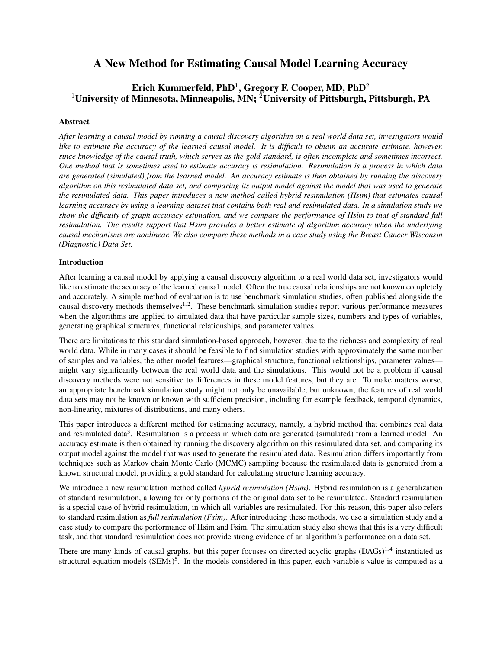# A New Method for Estimating Causal Model Learning Accuracy

## Erich Kummerfeld, PhD $^1$ , Gregory F. Cooper, MD, PhD $^2$ <sup>1</sup>University of Minnesota, Minneapolis, MN; <sup>2</sup>University of Pittsburgh, Pittsburgh, PA

## Abstract

*After learning a causal model by running a causal discovery algorithm on a real world data set, investigators would like to estimate the accuracy of the learned causal model. It is difficult to obtain an accurate estimate, however, since knowledge of the causal truth, which serves as the gold standard, is often incomplete and sometimes incorrect. One method that is sometimes used to estimate accuracy is resimulation. Resimulation is a process in which data are generated (simulated) from the learned model. An accuracy estimate is then obtained by running the discovery algorithm on this resimulated data set, and comparing its output model against the model that was used to generate the resimulated data. This paper introduces a new method called hybrid resimulation (Hsim) that estimates causal learning accuracy by using a learning dataset that contains both real and resimulated data. In a simulation study we show the difficulty of graph accuracy estimation, and we compare the performance of Hsim to that of standard full resimulation. The results support that Hsim provides a better estimate of algorithm accuracy when the underlying causal mechanisms are nonlinear. We also compare these methods in a case study using the Breast Cancer Wisconsin (Diagnostic) Data Set.*

## Introduction

After learning a causal model by applying a causal discovery algorithm to a real world data set, investigators would like to estimate the accuracy of the learned causal model. Often the true causal relationships are not known completely and accurately. A simple method of evaluation is to use benchmark simulation studies, often published alongside the causal discovery methods themselves<sup>1,2</sup>. These benchmark simulation studies report various performance measures when the algorithms are applied to simulated data that have particular sample sizes, numbers and types of variables, generating graphical structures, functional relationships, and parameter values.

There are limitations to this standard simulation-based approach, however, due to the richness and complexity of real world data. While in many cases it should be feasible to find simulation studies with approximately the same number of samples and variables, the other model features—graphical structure, functional relationships, parameter values might vary significantly between the real world data and the simulations. This would not be a problem if causal discovery methods were not sensitive to differences in these model features, but they are. To make matters worse, an appropriate benchmark simulation study might not only be unavailable, but unknown; the features of real world data sets may not be known or known with sufficient precision, including for example feedback, temporal dynamics, non-linearity, mixtures of distributions, and many others.

This paper introduces a different method for estimating accuracy, namely, a hybrid method that combines real data and resimulated data<sup>3</sup>. Resimulation is a process in which data are generated (simulated) from a learned model. An accuracy estimate is then obtained by running the discovery algorithm on this resimulated data set, and comparing its output model against the model that was used to generate the resimulated data. Resimulation differs importantly from techniques such as Markov chain Monte Carlo (MCMC) sampling because the resimulated data is generated from a known structural model, providing a gold standard for calculating structure learning accuracy.

We introduce a new resimulation method called *hybrid resimulation (Hsim)*. Hybrid resimulation is a generalization of standard resimulation, allowing for only portions of the original data set to be resimulated. Standard resimulation is a special case of hybrid resimulation, in which all variables are resimulated. For this reason, this paper also refers to standard resimulation as *full resimulation (Fsim)*. After introducing these methods, we use a simulation study and a case study to compare the performance of Hsim and Fsim. The simulation study also shows that this is a very difficult task, and that standard resimulation does not provide strong evidence of an algorithm's performance on a data set.

There are many kinds of causal graphs, but this paper focuses on directed acyclic graphs  $(DAGs)^{1,4}$  instantiated as structural equation models (SEMs)<sup>5</sup>. In the models considered in this paper, each variable's value is computed as a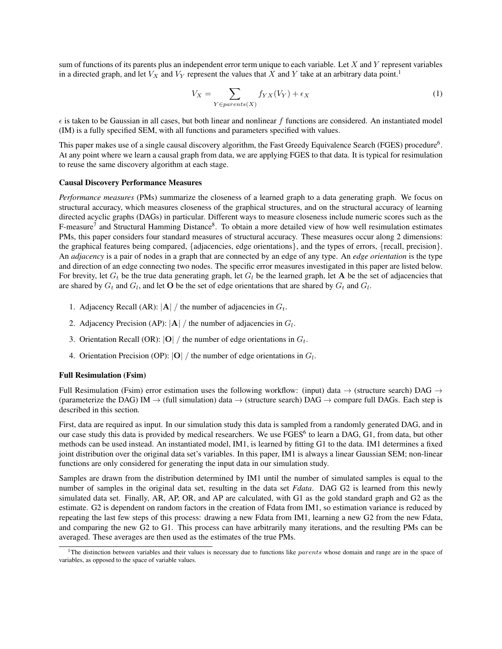sum of functions of its parents plus an independent error term unique to each variable. Let  $X$  and  $Y$  represent variables in a directed graph, and let  $V_X$  and  $V_Y$  represent the values that X and Y take at an arbitrary data point.<sup>1</sup>

$$
V_X = \sum_{Y \in parents(X)} f_{YX}(V_Y) + \epsilon_X \tag{1}
$$

 $\epsilon$  is taken to be Gaussian in all cases, but both linear and nonlinear f functions are considered. An instantiated model (IM) is a fully specified SEM, with all functions and parameters specified with values.

This paper makes use of a single causal discovery algorithm, the Fast Greedy Equivalence Search (FGES) procedure<sup>6</sup>. At any point where we learn a causal graph from data, we are applying FGES to that data. It is typical for resimulation to reuse the same discovery algorithm at each stage.

#### Causal Discovery Performance Measures

*Performance measures* (PMs) summarize the closeness of a learned graph to a data generating graph. We focus on structural accuracy, which measures closeness of the graphical structures, and on the structural accuracy of learning directed acyclic graphs (DAGs) in particular. Different ways to measure closeness include numeric scores such as the F-measure<sup>7</sup> and Structural Hamming Distance<sup>8</sup>. To obtain a more detailed view of how well resimulation estimates PMs, this paper considers four standard measures of structural accuracy. These measures occur along 2 dimensions: the graphical features being compared, {adjacencies, edge orientations}, and the types of errors, {recall, precision}. An *adjacency* is a pair of nodes in a graph that are connected by an edge of any type. An *edge orientation* is the type and direction of an edge connecting two nodes. The specific error measures investigated in this paper are listed below. For brevity, let  $G_t$  be the true data generating graph, let  $G_l$  be the learned graph, let **A** be the set of adjacencies that are shared by  $G_t$  and  $G_l$ , and let **O** be the set of edge orientations that are shared by  $G_t$  and  $G_l$ .

- 1. Adjacency Recall (AR):  $|\mathbf{A}| / \text{ the number of adja cencies in } G_t$ .
- 2. Adjacency Precision (AP):  $|\mathbf{A}| / \text{ the number of adjacency in } G_l$ .
- 3. Orientation Recall (OR):  $|O|/$  the number of edge orientations in  $G_t$ .
- 4. Orientation Precision (OP):  $|O|/$  the number of edge orientations in  $G_l$ .

#### Full Resimulation (Fsim)

Full Resimulation (Fsim) error estimation uses the following workflow: (input) data  $\rightarrow$  (structure search) DAG  $\rightarrow$ (parameterize the DAG) IM  $\rightarrow$  (full simulation) data  $\rightarrow$  (structure search) DAG  $\rightarrow$  compare full DAGs. Each step is described in this section.

First, data are required as input. In our simulation study this data is sampled from a randomly generated DAG, and in our case study this data is provided by medical researchers. We use FGES<sup>6</sup> to learn a DAG, G1, from data, but other methods can be used instead. An instantiated model, IM1, is learned by fitting G1 to the data. IM1 determines a fixed joint distribution over the original data set's variables. In this paper, IM1 is always a linear Gaussian SEM; non-linear functions are only considered for generating the input data in our simulation study.

Samples are drawn from the distribution determined by IM1 until the number of simulated samples is equal to the number of samples in the original data set, resulting in the data set *Fdata*. DAG G2 is learned from this newly simulated data set. Finally, AR, AP, OR, and AP are calculated, with G1 as the gold standard graph and G2 as the estimate. G2 is dependent on random factors in the creation of Fdata from IM1, so estimation variance is reduced by repeating the last few steps of this process: drawing a new Fdata from IM1, learning a new G2 from the new Fdata, and comparing the new G2 to G1. This process can have arbitrarily many iterations, and the resulting PMs can be averaged. These averages are then used as the estimates of the true PMs.

<sup>&</sup>lt;sup>1</sup>The distinction between variables and their values is necessary due to functions like  $parents$  whose domain and range are in the space of variables, as opposed to the space of variable values.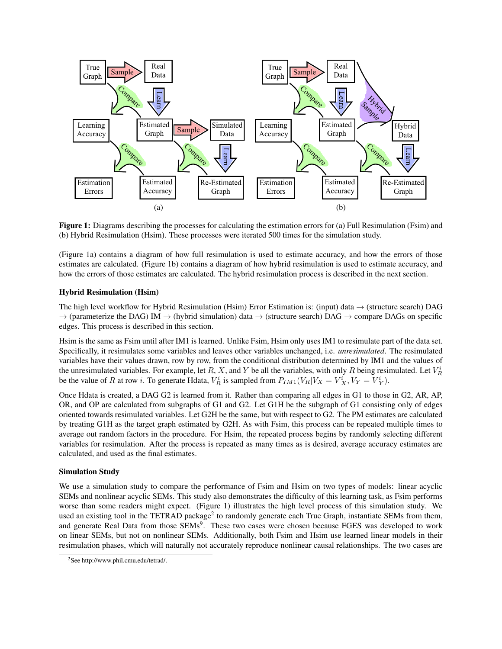

Figure 1: Diagrams describing the processes for calculating the estimation errors for (a) Full Resimulation (Fsim) and (b) Hybrid Resimulation (Hsim). These processes were iterated 500 times for the simulation study.

(Figure 1a) contains a diagram of how full resimulation is used to estimate accuracy, and how the errors of those estimates are calculated. (Figure 1b) contains a diagram of how hybrid resimulation is used to estimate accuracy, and how the errors of those estimates are calculated. The hybrid resimulation process is described in the next section.

## Hybrid Resimulation (Hsim)

The high level workflow for Hybrid Resimulation (Hsim) Error Estimation is: (input) data  $\rightarrow$  (structure search) DAG  $\rightarrow$  (parameterize the DAG) IM  $\rightarrow$  (hybrid simulation) data  $\rightarrow$  (structure search) DAG  $\rightarrow$  compare DAGs on specific edges. This process is described in this section.

Hsim is the same as Fsim until after IM1 is learned. Unlike Fsim, Hsim only uses IM1 to resimulate part of the data set. Specifically, it resimulates some variables and leaves other variables unchanged, i.e. *unresimulated*. The resimulated variables have their values drawn, row by row, from the conditional distribution determined by IM1 and the values of the unresimulated variables. For example, let R, X, and Y be all the variables, with only R being resimulated. Let  $V_R^i$ be the value of R at row *i*. To generate Hdata,  $V_R^i$  is sampled from  $P_{IM1}(V_R|V_X = V_X^i, V_Y = V_Y^i)$ .

Once Hdata is created, a DAG G2 is learned from it. Rather than comparing all edges in G1 to those in G2, AR, AP, OR, and OP are calculated from subgraphs of G1 and G2. Let G1H be the subgraph of G1 consisting only of edges oriented towards resimulated variables. Let G2H be the same, but with respect to G2. The PM estimates are calculated by treating G1H as the target graph estimated by G2H. As with Fsim, this process can be repeated multiple times to average out random factors in the procedure. For Hsim, the repeated process begins by randomly selecting different variables for resimulation. After the process is repeated as many times as is desired, average accuracy estimates are calculated, and used as the final estimates.

## Simulation Study

We use a simulation study to compare the performance of Fsim and Hsim on two types of models: linear acyclic SEMs and nonlinear acyclic SEMs. This study also demonstrates the difficulty of this learning task, as Fsim performs worse than some readers might expect. (Figure 1) illustrates the high level process of this simulation study. We used an existing tool in the TETRAD package<sup>2</sup> to randomly generate each True Graph, instantiate SEMs from them, and generate Real Data from those SEMs<sup>9</sup>. These two cases were chosen because FGES was developed to work on linear SEMs, but not on nonlinear SEMs. Additionally, both Fsim and Hsim use learned linear models in their resimulation phases, which will naturally not accurately reproduce nonlinear causal relationships. The two cases are

<sup>2</sup>See http://www.phil.cmu.edu/tetrad/.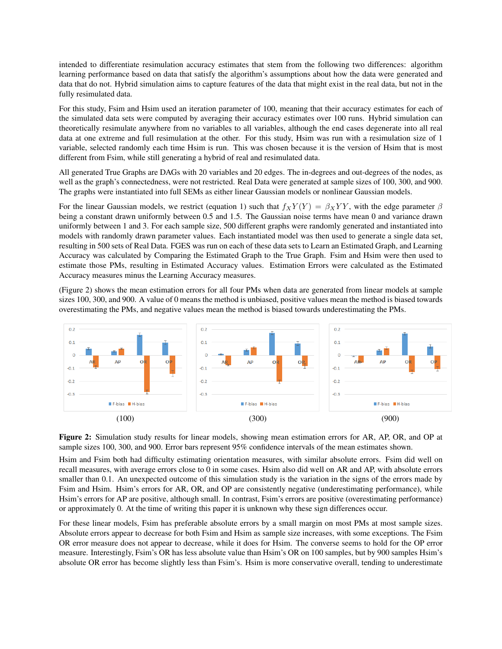intended to differentiate resimulation accuracy estimates that stem from the following two differences: algorithm learning performance based on data that satisfy the algorithm's assumptions about how the data were generated and data that do not. Hybrid simulation aims to capture features of the data that might exist in the real data, but not in the fully resimulated data.

For this study, Fsim and Hsim used an iteration parameter of 100, meaning that their accuracy estimates for each of the simulated data sets were computed by averaging their accuracy estimates over 100 runs. Hybrid simulation can theoretically resimulate anywhere from no variables to all variables, although the end cases degenerate into all real data at one extreme and full resimulation at the other. For this study, Hsim was run with a resimulation size of 1 variable, selected randomly each time Hsim is run. This was chosen because it is the version of Hsim that is most different from Fsim, while still generating a hybrid of real and resimulated data.

All generated True Graphs are DAGs with 20 variables and 20 edges. The in-degrees and out-degrees of the nodes, as well as the graph's connectedness, were not restricted. Real Data were generated at sample sizes of 100, 300, and 900. The graphs were instantiated into full SEMs as either linear Gaussian models or nonlinear Gaussian models.

For the linear Gaussian models, we restrict (equation 1) such that  $f_X Y(Y) = \beta_X Y Y$ , with the edge parameter  $\beta$ being a constant drawn uniformly between 0.5 and 1.5. The Gaussian noise terms have mean 0 and variance drawn uniformly between 1 and 3. For each sample size, 500 different graphs were randomly generated and instantiated into models with randomly drawn parameter values. Each instantiated model was then used to generate a single data set, resulting in 500 sets of Real Data. FGES was run on each of these data sets to Learn an Estimated Graph, and Learning Accuracy was calculated by Comparing the Estimated Graph to the True Graph. Fsim and Hsim were then used to estimate those PMs, resulting in Estimated Accuracy values. Estimation Errors were calculated as the Estimated Accuracy measures minus the Learning Accuracy measures.

(Figure 2) shows the mean estimation errors for all four PMs when data are generated from linear models at sample sizes 100, 300, and 900. A value of 0 means the method is unbiased, positive values mean the method is biased towards overestimating the PMs, and negative values mean the method is biased towards underestimating the PMs.



Figure 2: Simulation study results for linear models, showing mean estimation errors for AR, AP, OR, and OP at sample sizes 100, 300, and 900. Error bars represent 95% confidence intervals of the mean estimates shown.

Hsim and Fsim both had difficulty estimating orientation measures, with similar absolute errors. Fsim did well on recall measures, with average errors close to 0 in some cases. Hsim also did well on AR and AP, with absolute errors smaller than 0.1. An unexpected outcome of this simulation study is the variation in the signs of the errors made by Fsim and Hsim. Hsim's errors for AR, OR, and OP are consistently negative (underestimating performance), while Hsim's errors for AP are positive, although small. In contrast, Fsim's errors are positive (overestimating performance) or approximately 0. At the time of writing this paper it is unknown why these sign differences occur.

For these linear models, Fsim has preferable absolute errors by a small margin on most PMs at most sample sizes. Absolute errors appear to decrease for both Fsim and Hsim as sample size increases, with some exceptions. The Fsim OR error measure does not appear to decrease, while it does for Hsim. The converse seems to hold for the OP error measure. Interestingly, Fsim's OR has less absolute value than Hsim's OR on 100 samples, but by 900 samples Hsim's absolute OR error has become slightly less than Fsim's. Hsim is more conservative overall, tending to underestimate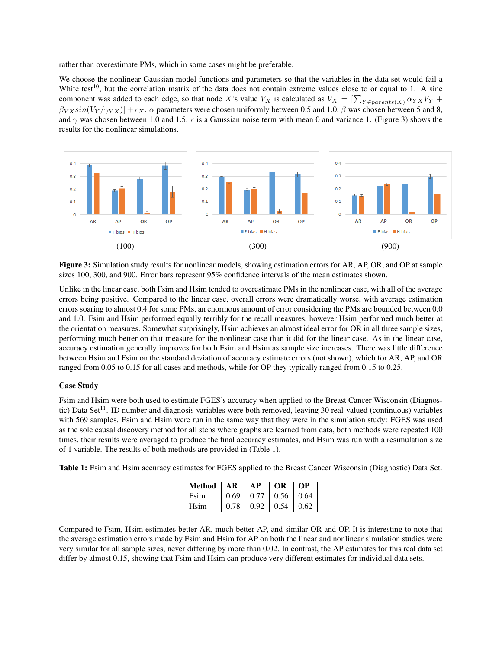rather than overestimate PMs, which in some cases might be preferable.

We choose the nonlinear Gaussian model functions and parameters so that the variables in the data set would fail a White test<sup>10</sup>, but the correlation matrix of the data does not contain extreme values close to or equal to 1. A sine component was added to each edge, so that node X's value  $V_X$  is calculated as  $V_X = [\sum_{Y \in parents(X)} \alpha_{YX} V_Y +$  $\beta_{YX}sin(V_Y/\gamma_{YX})$  +  $\epsilon_X$ .  $\alpha$  parameters were chosen uniformly between 0.5 and 1.0,  $\beta$  was chosen between 5 and 8, and  $\gamma$  was chosen between 1.0 and 1.5.  $\epsilon$  is a Gaussian noise term with mean 0 and variance 1. (Figure 3) shows the results for the nonlinear simulations.



Figure 3: Simulation study results for nonlinear models, showing estimation errors for AR, AP, OR, and OP at sample sizes 100, 300, and 900. Error bars represent 95% confidence intervals of the mean estimates shown.

Unlike in the linear case, both Fsim and Hsim tended to overestimate PMs in the nonlinear case, with all of the average errors being positive. Compared to the linear case, overall errors were dramatically worse, with average estimation errors soaring to almost 0.4 for some PMs, an enormous amount of error considering the PMs are bounded between 0.0 and 1.0. Fsim and Hsim performed equally terribly for the recall measures, however Hsim performed much better at the orientation measures. Somewhat surprisingly, Hsim achieves an almost ideal error for OR in all three sample sizes, performing much better on that measure for the nonlinear case than it did for the linear case. As in the linear case, accuracy estimation generally improves for both Fsim and Hsim as sample size increases. There was little difference between Hsim and Fsim on the standard deviation of accuracy estimate errors (not shown), which for AR, AP, and OR ranged from 0.05 to 0.15 for all cases and methods, while for OP they typically ranged from 0.15 to 0.25.

## Case Study

Fsim and Hsim were both used to estimate FGES's accuracy when applied to the Breast Cancer Wisconsin (Diagnostic) Data Set<sup>11</sup>. ID number and diagnosis variables were both removed, leaving 30 real-valued (continuous) variables with 569 samples. Fsim and Hsim were run in the same way that they were in the simulation study: FGES was used as the sole causal discovery method for all steps where graphs are learned from data, both methods were repeated 100 times, their results were averaged to produce the final accuracy estimates, and Hsim was run with a resimulation size of 1 variable. The results of both methods are provided in (Table 1).

Table 1: Fsim and Hsim accuracy estimates for FGES applied to the Breast Cancer Wisconsin (Diagnostic) Data Set.

| Method      | $A$ <b>R</b> | AP           | <b>OR</b>               | OР         |
|-------------|--------------|--------------|-------------------------|------------|
| <b>Fsim</b> | 0.69         | 0.77         | $\vert 0.56 \vert 0.64$ |            |
| Hsim        | 0.78         | $0.92 \perp$ | 0.54                    | $\pm 0.62$ |

Compared to Fsim, Hsim estimates better AR, much better AP, and similar OR and OP. It is interesting to note that the average estimation errors made by Fsim and Hsim for AP on both the linear and nonlinear simulation studies were very similar for all sample sizes, never differing by more than 0.02. In contrast, the AP estimates for this real data set differ by almost 0.15, showing that Fsim and Hsim can produce very different estimates for individual data sets.